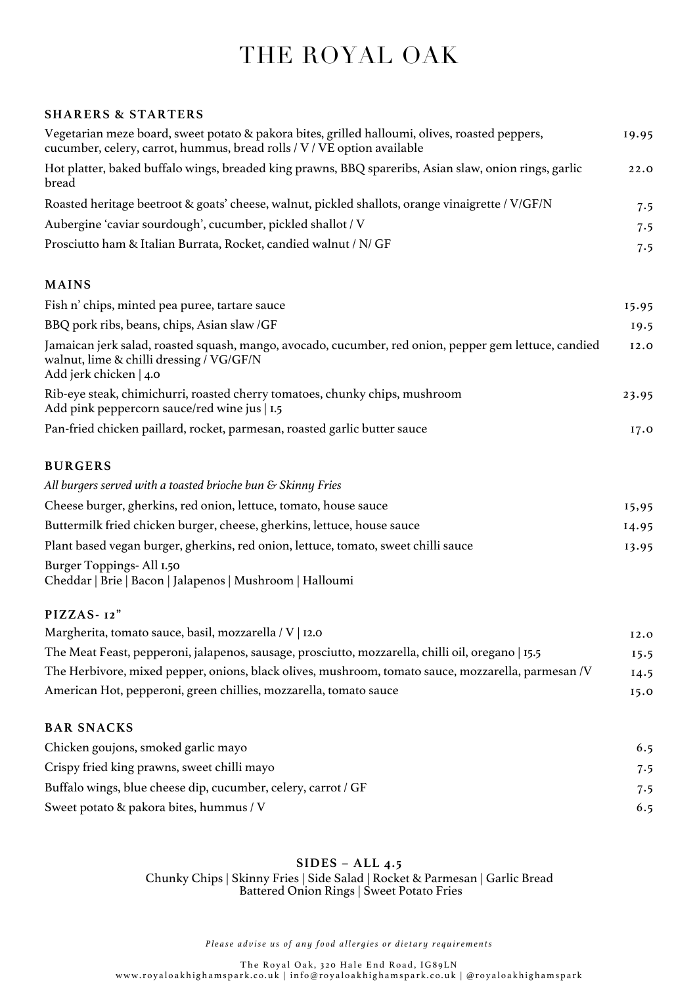## THE ROYAL OAK

## **SHARERS & STARTERS**

| Vegetarian meze board, sweet potato & pakora bites, grilled halloumi, olives, roasted peppers,<br>cucumber, celery, carrot, hummus, bread rolls / V / VE option available   | 19.95 |
|-----------------------------------------------------------------------------------------------------------------------------------------------------------------------------|-------|
| Hot platter, baked buffalo wings, breaded king prawns, BBQ spareribs, Asian slaw, onion rings, garlic<br>bread                                                              | 22.0  |
| Roasted heritage beetroot & goats' cheese, walnut, pickled shallots, orange vinaigrette / V/GF/N                                                                            | 7.5   |
| Aubergine 'caviar sourdough', cucumber, pickled shallot / V                                                                                                                 | 7.5   |
| Prosciutto ham & Italian Burrata, Rocket, candied walnut / N/ GF                                                                                                            | 7.5   |
| <b>MAINS</b>                                                                                                                                                                |       |
| Fish n' chips, minted pea puree, tartare sauce                                                                                                                              | 15.95 |
| BBQ pork ribs, beans, chips, Asian slaw /GF                                                                                                                                 | 19.5  |
| Jamaican jerk salad, roasted squash, mango, avocado, cucumber, red onion, pepper gem lettuce, candied<br>walnut, lime & chilli dressing / VG/GF/N<br>Add jerk chicken   4.0 | 12.0  |
| Rib-eye steak, chimichurri, roasted cherry tomatoes, chunky chips, mushroom<br>Add pink peppercorn sauce/red wine jus   1.5                                                 | 23.95 |
| Pan-fried chicken paillard, rocket, parmesan, roasted garlic butter sauce                                                                                                   | 17.0  |
| <b>BURGERS</b>                                                                                                                                                              |       |
| All burgers served with a toasted brioche bun & Skinny Fries                                                                                                                |       |
| Cheese burger, gherkins, red onion, lettuce, tomato, house sauce                                                                                                            | 15,95 |
| Buttermilk fried chicken burger, cheese, gherkins, lettuce, house sauce                                                                                                     | 14.95 |
| Plant based vegan burger, gherkins, red onion, lettuce, tomato, sweet chilli sauce                                                                                          | 13.95 |
| Burger Toppings- All I.50<br>Cheddar   Brie   Bacon   Jalapenos   Mushroom   Halloumi                                                                                       |       |
| PIZZAS-12"                                                                                                                                                                  |       |
| Margherita, tomato sauce, basil, mozzarella / V   12.0                                                                                                                      | 12.0  |
| The Meat Feast, pepperoni, jalapenos, sausage, prosciutto, mozzarella, chilli oil, oregano   15.5                                                                           | 15.5  |
| The Herbivore, mixed pepper, onions, black olives, mushroom, tomato sauce, mozzarella, parmesan /V                                                                          | 14.5  |
| American Hot, pepperoni, green chillies, mozzarella, tomato sauce                                                                                                           | 15.0  |
| <b>BAR SNACKS</b>                                                                                                                                                           |       |
| Chicken goujons, smoked garlic mayo                                                                                                                                         | 6.5   |
| Crispy fried king prawns, sweet chilli mayo                                                                                                                                 | 7.5   |
| Buffalo wings, blue cheese dip, cucumber, celery, carrot / GF                                                                                                               | 7.5   |
| Sweet potato & pakora bites, hummus / V                                                                                                                                     | 6.5   |

## **SIDES – ALL 4.5**

Chunky Chips | Skinny Fries | Side Salad | Rocket & Parmesan | Garlic Bread Battered Onion Rings | Sweet Potato Fries

*Please advise us of any food allergies or dietary requirements*

The Royal Oak , 320 Hale End Road, IG89LN www.royaloakhighamspark.co.uk | info@royaloakhighamspark.co.uk | @royaloakhighamspark